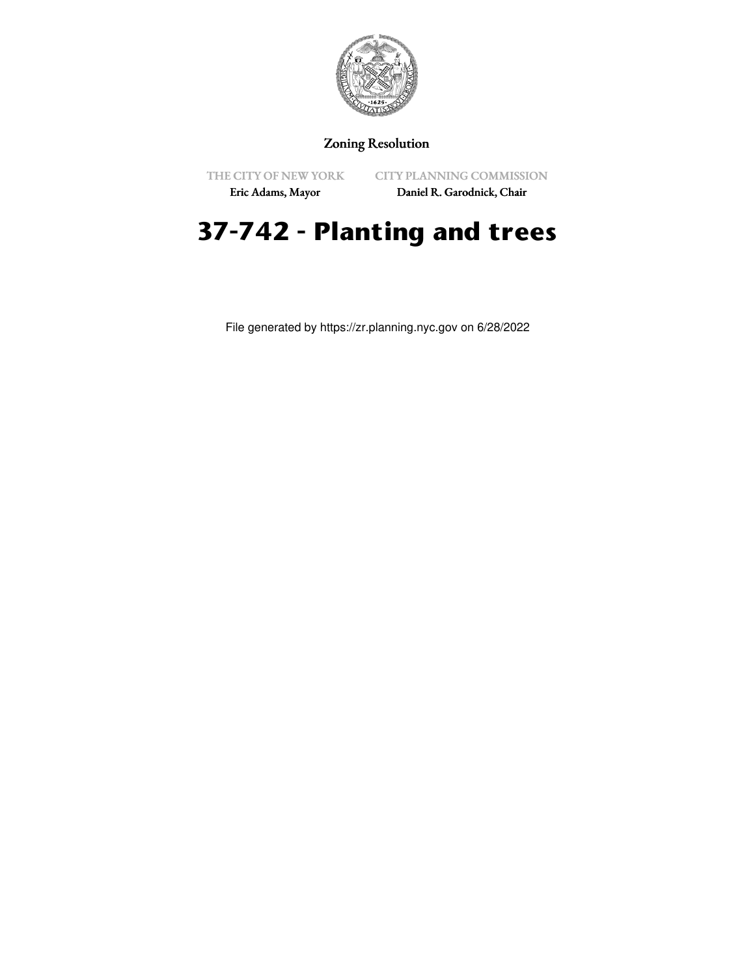

## Zoning Resolution

THE CITY OF NEW YORK

CITY PLANNING COMMISSION Daniel R. Garodnick, Chair

Eric Adams, Mayor

## **37-742 - Planting and trees**

File generated by https://zr.planning.nyc.gov on 6/28/2022